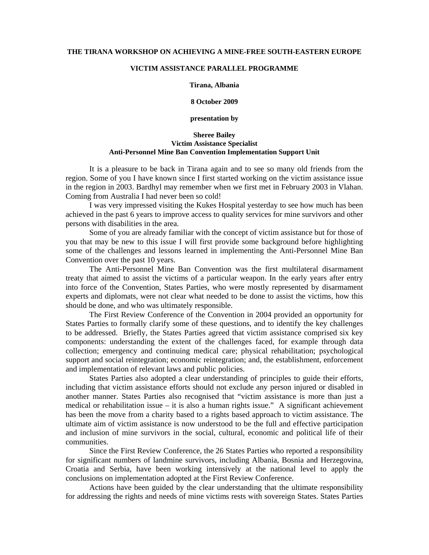## **THE TIRANA WORKSHOP ON ACHIEVING A MINE-FREE SOUTH-EASTERN EUROPE**

## **VICTIM ASSISTANCE PARALLEL PROGRAMME**

## **Tirana, Albania**

**8 October 2009** 

**presentation by** 

## **Sheree Bailey Victim Assistance Specialist Anti-Personnel Mine Ban Convention Implementation Support Unit**

It is a pleasure to be back in Tirana again and to see so many old friends from the region. Some of you I have known since I first started working on the victim assistance issue in the region in 2003. Bardhyl may remember when we first met in February 2003 in Vlahan. Coming from Australia I had never been so cold!

I was very impressed visiting the Kukes Hospital yesterday to see how much has been achieved in the past 6 years to improve access to quality services for mine survivors and other persons with disabilities in the area.

Some of you are already familiar with the concept of victim assistance but for those of you that may be new to this issue I will first provide some background before highlighting some of the challenges and lessons learned in implementing the Anti-Personnel Mine Ban Convention over the past 10 years.

The Anti-Personnel Mine Ban Convention was the first multilateral disarmament treaty that aimed to assist the victims of a particular weapon. In the early years after entry into force of the Convention, States Parties, who were mostly represented by disarmament experts and diplomats, were not clear what needed to be done to assist the victims, how this should be done, and who was ultimately responsible.

The First Review Conference of the Convention in 2004 provided an opportunity for States Parties to formally clarify some of these questions, and to identify the key challenges to be addressed. Briefly, the States Parties agreed that victim assistance comprised six key components: understanding the extent of the challenges faced, for example through data collection; emergency and continuing medical care; physical rehabilitation; psychological support and social reintegration; economic reintegration; and, the establishment, enforcement and implementation of relevant laws and public policies.

States Parties also adopted a clear understanding of principles to guide their efforts, including that victim assistance efforts should not exclude any person injured or disabled in another manner. States Parties also recognised that "victim assistance is more than just a medical or rehabilitation issue  $-$  it is also a human rights issue." A significant achievement has been the move from a charity based to a rights based approach to victim assistance. The ultimate aim of victim assistance is now understood to be the full and effective participation and inclusion of mine survivors in the social, cultural, economic and political life of their communities.

Since the First Review Conference, the 26 States Parties who reported a responsibility for significant numbers of landmine survivors, including Albania, Bosnia and Herzegovina, Croatia and Serbia, have been working intensively at the national level to apply the conclusions on implementation adopted at the First Review Conference.

Actions have been guided by the clear understanding that the ultimate responsibility for addressing the rights and needs of mine victims rests with sovereign States. States Parties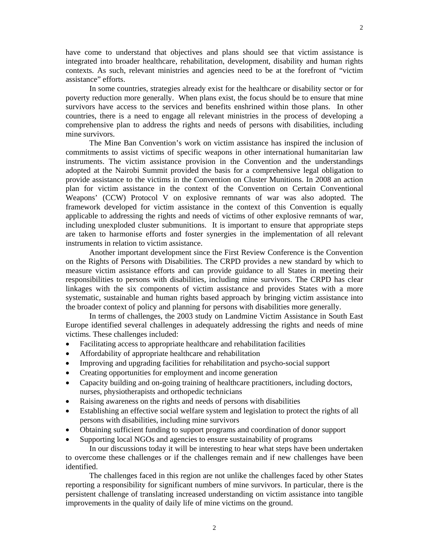have come to understand that objectives and plans should see that victim assistance is integrated into broader healthcare, rehabilitation, development, disability and human rights contexts. As such, relevant ministries and agencies need to be at the forefront of "victim assistance" efforts.

In some countries, strategies already exist for the healthcare or disability sector or for poverty reduction more generally. When plans exist, the focus should be to ensure that mine survivors have access to the services and benefits enshrined within those plans. In other countries, there is a need to engage all relevant ministries in the process of developing a comprehensive plan to address the rights and needs of persons with disabilities, including mine survivors.

The Mine Ban Convention's work on victim assistance has inspired the inclusion of commitments to assist victims of specific weapons in other international humanitarian law instruments. The victim assistance provision in the Convention and the understandings adopted at the Nairobi Summit provided the basis for a comprehensive legal obligation to provide assistance to the victims in the Convention on Cluster Munitions. In 2008 an action plan for victim assistance in the context of the Convention on Certain Conventional Weapons' (CCW) Protocol V on explosive remnants of war was also adopted. The framework developed for victim assistance in the context of this Convention is equally applicable to addressing the rights and needs of victims of other explosive remnants of war, including unexploded cluster submunitions. It is important to ensure that appropriate steps are taken to harmonise efforts and foster synergies in the implementation of all relevant instruments in relation to victim assistance.

 Another important development since the First Review Conference is the Convention on the Rights of Persons with Disabilities. The CRPD provides a new standard by which to measure victim assistance efforts and can provide guidance to all States in meeting their responsibilities to persons with disabilities, including mine survivors. The CRPD has clear linkages with the six components of victim assistance and provides States with a more systematic, sustainable and human rights based approach by bringing victim assistance into the broader context of policy and planning for persons with disabilities more generally.

 In terms of challenges, the 2003 study on Landmine Victim Assistance in South East Europe identified several challenges in adequately addressing the rights and needs of mine victims. These challenges included:

- Facilitating access to appropriate healthcare and rehabilitation facilities
- Affordability of appropriate healthcare and rehabilitation
- Improving and upgrading facilities for rehabilitation and psycho-social support
- Creating opportunities for employment and income generation
- Capacity building and on-going training of healthcare practitioners, including doctors, nurses, physiotherapists and orthopedic technicians
- Raising awareness on the rights and needs of persons with disabilities
- Establishing an effective social welfare system and legislation to protect the rights of all persons with disabilities, including mine survivors
- Obtaining sufficient funding to support programs and coordination of donor support
- Supporting local NGOs and agencies to ensure sustainability of programs

In our discussions today it will be interesting to hear what steps have been undertaken to overcome these challenges or if the challenges remain and if new challenges have been identified.

The challenges faced in this region are not unlike the challenges faced by other States reporting a responsibility for significant numbers of mine survivors. In particular, there is the persistent challenge of translating increased understanding on victim assistance into tangible improvements in the quality of daily life of mine victims on the ground.